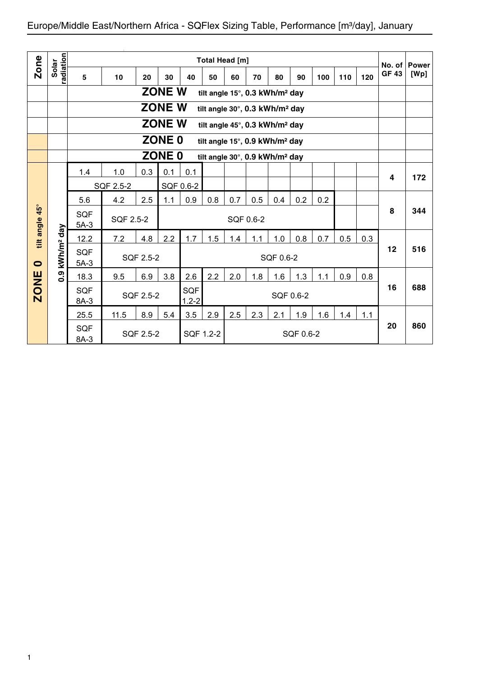| Zone         |                        |                        |           |           |                   |                         | Total Head [m] |     |                                            |           |           |     |     |     | No. of       | <b>Power</b> |
|--------------|------------------------|------------------------|-----------|-----------|-------------------|-------------------------|----------------|-----|--------------------------------------------|-----------|-----------|-----|-----|-----|--------------|--------------|
|              | radiation<br>Solar     | 5                      | 10        | 20        | 30                | 40                      | 50             | 60  | 70                                         | 80        | 90        | 100 | 110 | 120 | <b>GF 43</b> | [Wp]         |
|              |                        |                        |           |           | <b>ZONE W</b>     |                         |                |     | tilt angle 15°, 0.3 kWh/m <sup>2</sup> day |           |           |     |     |     |              |              |
|              |                        |                        |           |           | <b>ZONE W</b>     |                         |                |     | tilt angle 30°, 0.3 kWh/m <sup>2</sup> day |           |           |     |     |     |              |              |
|              |                        |                        |           |           | <b>ZONE W</b>     |                         |                |     | tilt angle 45°, 0.3 kWh/m <sup>2</sup> day |           |           |     |     |     |              |              |
|              |                        |                        |           |           | ZONE <sub>0</sub> |                         |                |     | tilt angle 15°, 0.9 kWh/m <sup>2</sup> day |           |           |     |     |     |              |              |
|              |                        |                        |           |           | ZONE <sub>0</sub> |                         |                |     | tilt angle 30°, 0.9 kWh/m <sup>2</sup> day |           |           |     |     |     |              |              |
|              |                        | 1.4                    | 1.0       | 0.3       | 0.1               | 0.1                     |                |     |                                            |           |           |     |     |     | 4            | 172          |
|              |                        | SQF 0.6-2<br>SQF 2.5-2 |           |           |                   |                         |                |     |                                            |           |           |     |     |     |              |              |
|              |                        | 5.6                    | 4.2       | 2.5       | 1.1               | 0.9                     | 0.8            | 0.7 | 0.5                                        | 0.4       | 0.2       | 0.2 |     |     |              |              |
| $45^{\circ}$ |                        | <b>SQF</b><br>$5A-3$   | SQF 2.5-2 |           |                   |                         |                |     | SQF 0.6-2                                  |           |           |     |     |     | 8            | 344          |
| tilt angle   |                        | 12.2                   | 7.2       | 4.8       | 2.2               | 1.7                     | 1.5            | 1.4 | 1.1                                        | 1.0       | 0.8       | 0.7 | 0.5 | 0.3 |              |              |
| $\bullet$    | kWh/m <sup>2</sup> day | <b>SQF</b><br>$5A-3$   |           | SQF 2.5-2 |                   |                         |                |     |                                            | SQF 0.6-2 |           |     |     |     | 12           | 516          |
|              | 0.9                    | 18.3                   | 9.5       | 6.9       | 3.8               | 2.6                     | 2.2            | 2.0 | 1.8                                        | 1.6       | 1.3       | 1.1 | 0.9 | 0.8 |              |              |
| <b>ZONE</b>  |                        | <b>SQF</b><br>$8A-3$   |           | SQF 2.5-2 |                   | <b>SQF</b><br>$1.2 - 2$ |                |     |                                            |           | SQF 0.6-2 |     |     |     | 16           | 688          |
|              |                        | 25.5                   | 11.5      | 8.9       | 5.4               | 3.5                     | 2.9            | 2.5 | 2.3                                        | 2.1       | 1.9       | 1.6 | 1.4 | 1.1 |              |              |
|              |                        | <b>SQF</b><br>8A-3     |           | SQF 2.5-2 |                   |                         | SQF 1.2-2      |     |                                            |           | SQF 0.6-2 |     |     |     | 20           | 860          |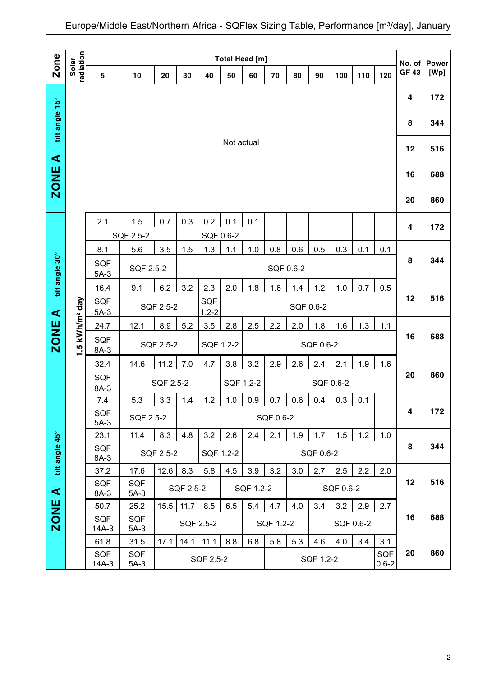|                      |                                                                                           |                                                                                           |                      |                  |           |           | <b>Total Head [m]</b> |           |                  |     |                  |           |           |                  | No. of                  | <b>Power</b> |
|----------------------|-------------------------------------------------------------------------------------------|-------------------------------------------------------------------------------------------|----------------------|------------------|-----------|-----------|-----------------------|-----------|------------------|-----|------------------|-----------|-----------|------------------|-------------------------|--------------|
| Zone                 | radiation<br>Solar                                                                        | 5                                                                                         | 10                   | 20               | 30        | 40        | 50                    | 60        | 70               | 80  | 90               | 100       | 110       | 120              | <b>GF 43</b>            | [Wp]         |
|                      |                                                                                           |                                                                                           |                      |                  |           |           |                       |           |                  |     |                  |           |           |                  | 4                       | 172          |
| tilt angle 15°       |                                                                                           |                                                                                           |                      |                  |           |           |                       |           |                  |     |                  |           |           |                  | 8                       | 344          |
| $\blacktriangleleft$ |                                                                                           |                                                                                           |                      |                  |           |           | Not actual            |           |                  |     |                  |           |           |                  | 12                      | 516          |
| <b>ZONE</b>          |                                                                                           |                                                                                           |                      |                  |           |           |                       |           |                  |     |                  |           |           |                  | 16                      | 688          |
|                      |                                                                                           |                                                                                           |                      |                  |           |           |                       |           |                  |     |                  |           |           |                  | 20                      | 860          |
|                      |                                                                                           | 2.1                                                                                       | 1.5                  | 0.7              | 0.3       | 0.2       | 0.1                   | 0.1       |                  |     |                  |           |           |                  | 4                       | 172          |
|                      |                                                                                           |                                                                                           | SQF 2.5-2            |                  |           | SQF 0.6-2 |                       |           |                  |     |                  |           |           |                  |                         |              |
| tilt angle 30°       |                                                                                           | 8.1<br><b>SQF</b><br>$5A-3$                                                               | 5.6<br>SQF 2.5-2     | 3.5              | 1.5       | 1.3       | 1.1                   | 1.0       | 0.8<br>SQF 0.6-2 | 0.6 | 0.5              | 0.3       | 0.1       | 0.1              | 8                       | 344          |
|                      |                                                                                           | 16.4                                                                                      | 9.1                  | 6.2              | 3.2       | 2.3       | 2.0                   | 1.8       | 1.6              | 1.4 | 1.2              | 1.0       | 0.7       | 0.5              |                         |              |
| $\blacktriangleleft$ | SQF<br>SQF<br>SQF 2.5-2<br>SQF 0.6-2<br>$1.2 - 2$<br>$5A-3$                               |                                                                                           |                      |                  |           |           |                       |           |                  |     |                  |           | 12        | 516              |                         |              |
|                      |                                                                                           | 3.5<br>2.5<br>2.2<br>8.9<br>5.2<br>2.8<br>2.0<br>1.8<br>1.6<br>1.3<br>24.7<br>12.1<br>1.1 |                      |                  |           |           |                       |           |                  |     |                  |           |           |                  |                         |              |
| ZONE                 | 1.5 kWh/m <sup>2</sup> day<br><b>SQF</b><br>SQF 2.5-2<br>SQF 0.6-2<br>SQF 1.2-2<br>$8A-3$ |                                                                                           |                      |                  |           |           |                       |           |                  |     |                  |           | 16        | 688              |                         |              |
|                      |                                                                                           | 32.4                                                                                      | 14.6                 | 11.2             | 7.0       | 4.7       | 3.8                   | 3.2       | 2.9              | 2.6 | 2.4              | 2.1       | 1.9       | 1.6              |                         |              |
|                      |                                                                                           | <b>SQF</b><br>$8A-3$                                                                      |                      | SQF 2.5-2        |           |           | SQF 1.2-2             |           |                  |     |                  | SQF 0.6-2 |           |                  | 20                      | 860          |
|                      |                                                                                           | 7.4                                                                                       | 5.3                  | 3.3              | 1.4       | 1.2       | 1.0                   | 0.9       | 0.7              | 0.6 | 0.4              | 0.3       | 0.1       |                  |                         |              |
|                      |                                                                                           | SQF<br>$5A-3$                                                                             | SQF 2.5-2            |                  |           |           |                       |           | SQF 0.6-2        |     |                  |           |           |                  | $\overline{\mathbf{4}}$ | 172          |
| tilt angle 45°       |                                                                                           | 23.1<br>SQF                                                                               | 11.4                 | 8.3<br>SQF 2.5-2 | 4.8       | 3.2       | 2.6<br>SQF 1.2-2      | 2.4       | 2.1              | 1.9 | 1.7<br>SQF 0.6-2 | 1.5       | 1.2       | 1.0              | 8                       | 344          |
|                      |                                                                                           | $8A-3$<br>37.2                                                                            | 17.6                 | 12.6             | 8.3       | 5.8       | 4.5                   | 3.9       | 3.2              | 3.0 | 2.7              | 2.5       | 2.2       | 2.0              |                         |              |
|                      |                                                                                           | <b>SQF</b>                                                                                | SQF                  |                  |           |           |                       |           |                  |     |                  |           |           |                  | 12                      | 516          |
| ⋖                    |                                                                                           | 8A-3                                                                                      | $5A-3$               |                  | SQF 2.5-2 |           |                       | SQF 1.2-2 |                  |     |                  | SQF 0.6-2 |           |                  |                         |              |
| ZONE                 |                                                                                           | 50.7                                                                                      | 25.2                 | 15.5             | 11.7      | 8.5       | 6.5                   | 5.4       | 4.7              | 4.0 | 3.4              | 3.2       | 2.9       | 2.7              | 16                      | 688          |
|                      |                                                                                           | <b>SQF</b><br>$14A-3$                                                                     | <b>SQF</b><br>$5A-3$ |                  |           | SQF 2.5-2 |                       |           | SQF 1.2-2        |     |                  |           | SQF 0.6-2 |                  |                         |              |
|                      |                                                                                           | 61.8                                                                                      | 31.5                 | 17.1             | 14.1      | 11.1      | 8.8                   | 6.8       | 5.8              | 5.3 | 4.6              | 4.0       | 3.4       | 3.1              |                         |              |
|                      |                                                                                           | SQF<br>$14A-3$                                                                            | <b>SQF</b><br>$5A-3$ |                  |           | SQF 2.5-2 |                       |           |                  |     | SQF 1.2-2        |           |           | SQF<br>$0.6 - 2$ | 20                      | 860          |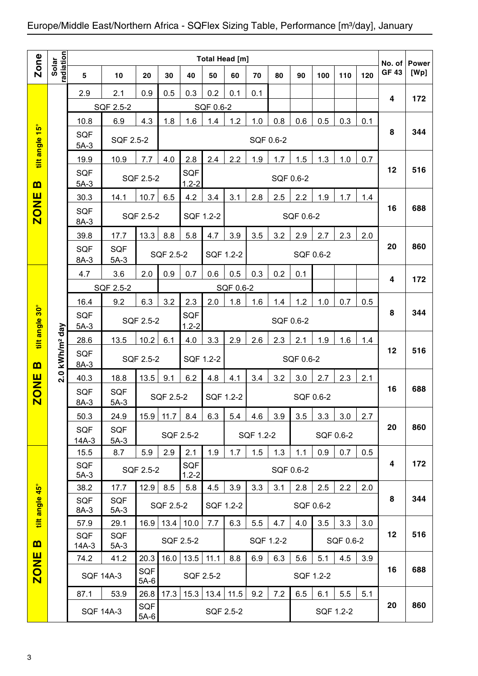|                         |                        |                      |                      |               |                  |                         |           | <b>Total Head [m]</b> |           |           |           |           |           |     | No. of                  | <b>Power</b> |
|-------------------------|------------------------|----------------------|----------------------|---------------|------------------|-------------------------|-----------|-----------------------|-----------|-----------|-----------|-----------|-----------|-----|-------------------------|--------------|
| <b>Zone</b>             | radiation<br>Solar     | $5\phantom{1}$       | 10                   | 20            | 30               | 40                      | 50        | 60                    | 70        | 80        | 90        | 100       | 110       | 120 | <b>GF 43</b>            | [Wp]         |
|                         |                        | 2.9                  | 2.1                  | 0.9           | 0.5              | 0.3                     | 0.2       | 0.1                   | 0.1       |           |           |           |           |     | $\overline{\mathbf{4}}$ | 172          |
|                         |                        |                      | SQF 2.5-2            |               |                  |                         | SQF 0.6-2 |                       |           |           |           |           |           |     |                         |              |
|                         |                        | 10.8                 | 6.9                  | 4.3           | 1.8              | 1.6                     | 1.4       | 1.2                   | 1.0       | 0.8       | 0.6       | 0.5       | 0.3       | 0.1 |                         |              |
| tilt angle 15°          |                        | <b>SQF</b><br>$5A-3$ | SQF 2.5-2            |               |                  |                         |           |                       | SQF 0.6-2 |           |           |           |           |     | 8                       | 344          |
|                         |                        | 19.9                 | 10.9                 | 7.7           | 4.0              | 2.8                     | 2.4       | 2.2                   | 1.9       | 1.7       | 1.5       | 1.3       | 1.0       | 0.7 |                         |              |
| $\mathbf{m}$            |                        | <b>SQF</b><br>$5A-3$ |                      | SQF 2.5-2     |                  | <b>SQF</b><br>$1.2 - 2$ |           |                       |           | SQF 0.6-2 |           |           |           |     | 12                      | 516          |
|                         |                        | 30.3                 | 14.1                 | 10.7          | 6.5              | 4.2                     | 3.4       | 3.1                   | 2.8       | 2.5       | 2.2       | 1.9       | 1.7       | 1.4 |                         |              |
| <b>ZONE</b>             |                        | <b>SQF</b><br>8A-3   |                      | SQF 2.5-2     |                  | SQF 1.2-2               |           |                       |           |           | SQF 0.6-2 |           |           |     | 16                      | 688          |
|                         |                        | 39.8                 | 17.7                 | 13.3          | 8.8              | 5.8                     | 4.7       | 3.9                   | 3.5       | 3.2       | 2.9       | 2.7       | 2.3       | 2.0 |                         |              |
|                         |                        | <b>SQF</b><br>8A-3   | <b>SQF</b><br>$5A-3$ |               | SQF 2.5-2        |                         | SQF 1.2-2 |                       |           |           |           | SQF 0.6-2 |           |     | 20                      | 860          |
|                         |                        | 4.7                  | 3.6                  | 2.0           | 0.9              | 0.7                     | 0.6       | 0.5                   | 0.3       | 0.2       | 0.1       |           |           |     |                         |              |
|                         |                        |                      | SQF 2.5-2            |               |                  |                         |           | SQF 0.6-2             |           |           |           |           |           |     | 4                       | 172          |
|                         |                        | 16.4                 | 9.2                  | 6.3           | 3.2              | 2.3                     | 2.0       | 1.8                   | 1.6       | 1.4       | 1.2       | 1.0       | 0.7       | 0.5 |                         |              |
| tilt angle 30°          |                        | SQF                  |                      | SQF 2.5-2     |                  | <b>SQF</b><br>$1.2 - 2$ |           |                       |           | SQF 0.6-2 |           |           |           |     | 8                       | 344          |
|                         |                        | $5A-3$<br>28.6       | 13.5                 | 10.2          | 6.1              | 4.0                     | 3.3       | 2.9                   | 2.6       | 2.3       | 2.1       | 1.9       | 1.6       | 1.4 |                         |              |
| $\mathbf{m}$            | kWh/m <sup>2</sup> day | <b>SQF</b><br>8A-3   |                      | SQF 2.5-2     |                  | SQF 1.2-2               |           |                       |           |           | SQF 0.6-2 |           |           |     | 12                      | 516          |
| $\frac{1}{2}$           | 2.0                    | 40.3                 | 18.8                 | 13.5          | 9.1              | 6.2                     | 4.8       | 4.1                   | 3.4       | 3.2       | 3.0       | 2.7       | 2.3       | 2.1 |                         |              |
| $\overline{\mathbf{S}}$ |                        | SQF<br>8A-3          | <b>SQF</b><br>$5A-3$ |               | <b>SQF 2.5-2</b> |                         | SQF 1.2-2 |                       |           |           |           | SQF 0.6-2 |           |     | 16                      | 688          |
|                         |                        | 50.3                 | 24.9                 | 15.9          | 11.7             | 8.4                     | 6.3       | 5.4                   | 4.6       | 3.9       | 3.5       | 3.3       | 3.0       | 2.7 |                         |              |
|                         |                        | <b>SQF</b>           | <b>SQF</b>           |               |                  |                         |           |                       |           |           |           |           |           |     | 20                      | 860          |
|                         |                        | $14A-3$              | $5A-3$               |               |                  | SQF 2.5-2               |           |                       | SQF 1.2-2 |           |           |           | SQF 0.6-2 |     |                         |              |
|                         |                        | 15.5<br><b>SQF</b>   | 8.7                  | 5.9           | 2.9              | 2.1<br>SQF              | 1.9       | 1.7                   | 1.5       | 1.3       | 1.1       | 0.9       | 0.7       | 0.5 | 4                       | 172          |
|                         |                        | $5A-3$               |                      | SQF 2.5-2     |                  | $1.2 - 2$               |           |                       |           | SQF 0.6-2 |           |           |           |     |                         |              |
|                         |                        | 38.2                 | 17.7                 | 12.9          | 8.5              | 5.8                     | 4.5       | 3.9                   | 3.3       | 3.1       | 2.8       | 2.5       | 2.2       | 2.0 |                         |              |
| tilt angle 45°          |                        | <b>SQF</b><br>8A-3   | <b>SQF</b><br>$5A-3$ |               | SQF 2.5-2        |                         | SQF 1.2-2 |                       |           |           |           | SQF 0.6-2 |           |     | 8                       | 344          |
|                         |                        | 57.9                 | 29.1                 | 16.9          | 13.4             | 10.0                    | 7.7       | 6.3                   | 5.5       | 4.7       | 4.0       | 3.5       | 3.3       | 3.0 |                         |              |
| $\mathbf{m}$            |                        | SQF<br>$14A-3$       | <b>SQF</b><br>$5A-3$ |               |                  | SQF 2.5-2               |           |                       | SQF 1.2-2 |           |           |           | SQF 0.6-2 |     | 12                      | 516          |
|                         |                        | 74.2                 | 41.2                 | 20.3          | 16.0             | 13.5                    | 11.1      | 8.8                   | 6.9       | 6.3       | 5.6       | 5.1       | 4.5       | 3.9 |                         |              |
| <b>ZONE</b>             |                        | <b>SQF 14A-3</b>     |                      | SQF<br>$5A-6$ |                  | SQF 2.5-2               |           |                       |           |           |           | SQF 1.2-2 |           |     | 16                      | 688          |
|                         |                        | 87.1                 | 53.9                 | 26.8          | 17.3             | 15.3                    | 13.4      | 11.5                  | 9.2       | 7.2       | 6.5       | 6.1       | 5.5       | 5.1 |                         |              |
|                         |                        |                      | <b>SQF 14A-3</b>     | SQF<br>$5A-6$ |                  |                         |           | SQF 2.5-2             |           |           |           |           | SQF 1.2-2 |     | 20                      | 860          |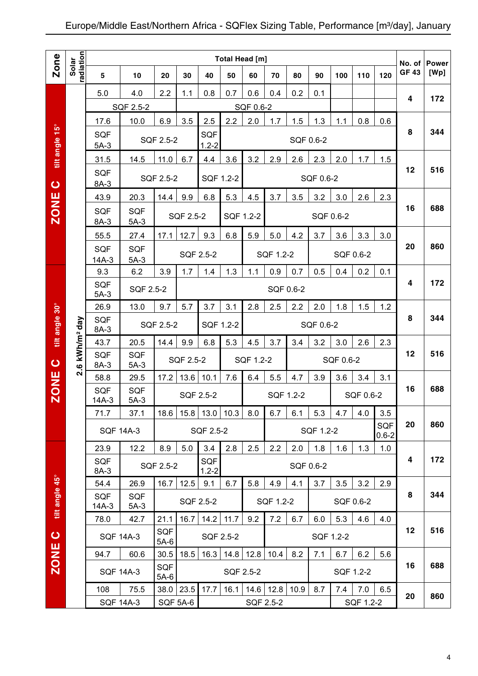|                |                        |                       |                      |                      |                 |                         | Total Head [m] |           |           |           |           |           |           |                         | No. of       | <b>Power</b> |
|----------------|------------------------|-----------------------|----------------------|----------------------|-----------------|-------------------------|----------------|-----------|-----------|-----------|-----------|-----------|-----------|-------------------------|--------------|--------------|
| Zone           | radiation<br>Solar     | 5                     | 10                   | 20                   | 30              | 40                      | 50             | 60        | 70        | 80        | 90        | 100       | 110       | 120                     | <b>GF 43</b> | [Wp]         |
|                |                        | 5.0                   | 4.0                  | 2.2                  | 1.1             | 0.8                     | 0.7            | 0.6       | 0.4       | 0.2       | 0.1       |           |           |                         |              |              |
|                |                        |                       | SQF 2.5-2            |                      |                 |                         |                | SQF 0.6-2 |           |           |           |           |           |                         | 4            | 172          |
|                |                        | 17.6                  | 10.0                 | 6.9                  | 3.5             | 2.5                     | 2.2            | 2.0       | 1.7       | 1.5       | 1.3       | 1.1       | 0.8       | 0.6                     |              |              |
| tilt angle 15° |                        | <b>SQF</b><br>$5A-3$  |                      | SQF 2.5-2            |                 | SQF<br>$1.2 - 2$        |                |           |           | SQF 0.6-2 |           |           |           |                         | 8            | 344          |
|                |                        | 31.5                  | 14.5                 | 11.0                 | 6.7             | 4.4                     | 3.6            | 3.2       | 2.9       | 2.6       | 2.3       | 2.0       | 1.7       | 1.5                     |              |              |
| $\bullet$      |                        | <b>SQF</b><br>$8A-3$  |                      | SQF 2.5-2            |                 | SQF 1.2-2               |                |           |           |           | SQF 0.6-2 |           |           |                         | 12           | 516          |
|                |                        | 43.9                  | 20.3                 | 14.4                 | 9.9             | 6.8                     | 5.3            | 4.5       | 3.7       | 3.5       | 3.2       | 3.0       | 2.6       | 2.3                     |              |              |
| ZONE           |                        | <b>SQF</b><br>$8A-3$  | <b>SQF</b><br>$5A-3$ |                      | SQF 2.5-2       |                         | SQF 1.2-2      |           |           |           | SQF 0.6-2 |           |           |                         | 16           | 688          |
|                |                        | 55.5                  | 27.4                 | 17.1                 | 12.7            | 9.3                     | 6.8            | 5.9       | 5.0       | 4.2       | 3.7       | 3.6       | 3.3       | 3.0                     |              |              |
|                |                        | <b>SQF</b><br>$14A-3$ | <b>SQF</b><br>$5A-3$ |                      |                 | SQF 2.5-2               |                |           | SQF 1.2-2 |           |           |           | SQF 0.6-2 |                         | 20           | 860          |
|                |                        | 9.3                   | 6.2                  | 3.9                  | 1.7             | 1.4                     | 1.3            | 1.1       | 0.9       | 0.7       | 0.5       | 0.4       | 0.2       | 0.1                     |              |              |
|                |                        | <b>SQF</b><br>$5A-3$  | SQF 2.5-2            |                      |                 |                         |                |           | SQF 0.6-2 |           |           |           |           |                         | 4            | 172          |
|                |                        | 26.9                  | 13.0                 | 9.7                  | 5.7             | 3.7                     | 3.1            | 2.8       | 2.5       | 2.2       | 2.0       | 1.8       | 1.5       | 1.2                     |              |              |
| tilt angle 30° | kWh/m <sup>2</sup> day | <b>SQF</b><br>8A-3    |                      | SQF 2.5-2            |                 | SQF 1.2-2               |                |           |           |           | SQF 0.6-2 |           |           |                         | 8            | 344          |
|                |                        | 43.7                  | 20.5                 | 14.4                 | 9.9             | 6.8                     | 5.3            | 4.5       | 3.7       | 3.4       | 3.2       | 3.0       | 2.6       | 2.3                     |              |              |
| $\bullet$      | $2.\overline{6}$       | <b>SQF</b><br>8A-3    | <b>SQF</b><br>$5A-3$ |                      | SQF 2.5-2       |                         |                | SQF 1.2-2 |           |           |           | SQF 0.6-2 |           |                         | 12           | 516          |
|                |                        | 58.8                  | 29.5                 | 17.2                 | 13.6            | 10.1                    | 7.6            | 6.4       | 5.5       | 4.7       | 3.9       | 3.6       | 3.4       | 3.1                     | 16           | 688          |
| <b>ZONE</b>    |                        | <b>SQF</b><br>$14A-3$ | <b>SQF</b><br>$5A-3$ |                      |                 | SQF 2.5-2               |                |           | SQF 1.2-2 |           |           |           | SQF 0.6-2 |                         |              |              |
|                |                        | 71.7                  | 37.1                 | 18.6                 | 15.8            | 13.0                    | 10.3           | 8.0       | 6.7       | 6.1       | 5.3       | 4.7       | 4.0       | 3.5                     |              |              |
|                |                        |                       | <b>SQF 14A-3</b>     |                      |                 | SQF 2.5-2               |                |           |           |           | SQF 1.2-2 |           |           | <b>SQF</b><br>$0.6 - 2$ | 20           | 860          |
|                |                        | 23.9                  | 12.2                 | 8.9                  | 5.0             | 3.4                     | 2.8            | 2.5       | 2.2       | 2.0       | 1.8       | 1.6       | 1.3       | 1.0                     | 4            | 172          |
|                |                        | <b>SQF</b><br>8A-3    |                      | SQF 2.5-2            |                 | <b>SQF</b><br>$1.2 - 2$ |                |           |           |           | SQF 0.6-2 |           |           |                         |              |              |
|                |                        | 54.4                  | 26.9                 | 16.7                 | 12.5            | 9.1                     | 6.7            | 5.8       | 4.9       | 4.1       | 3.7       | 3.5       | 3.2       | 2.9                     |              |              |
| tilt angle 45° |                        | <b>SQF</b><br>$14A-3$ | <b>SQF</b><br>$5A-3$ |                      |                 | SQF 2.5-2               |                |           | SQF 1.2-2 |           |           |           | SQF 0.6-2 |                         | 8            | 344          |
|                |                        | 78.0                  | 42.7                 | 21.1                 | 16.7            | 14.2                    | 11.7           | 9.2       | 7.2       | 6.7       | 6.0       | 5.3       | 4.6       | 4.0                     |              |              |
| $\circ$        |                        |                       | <b>SQF 14A-3</b>     | SQF<br>$5A-6$        |                 | SQF 2.5-2               |                |           |           |           |           | SQF 1.2-2 |           |                         | 12           | 516          |
| ZONE           |                        | 94.7                  | 60.6                 | 30.5                 | 18.5            | 16.3                    | 14.8           | 12.8      | 10.4      | 8.2       | 7.1       | 6.7       | 6.2       | 5.6                     | 16           | 688          |
|                |                        |                       | <b>SQF 14A-3</b>     | <b>SQF</b><br>$5A-6$ |                 |                         | SQF 2.5-2      |           |           |           |           |           | SQF 1.2-2 |                         |              |              |
|                |                        | 108                   | 75.5                 | 38.0                 | 23.5            | 17.7                    | 16.1           | 14.6      | 12.8      | 10.9      | 8.7       | 7.4       | $7.0$     | 6.5                     | 20           | 860          |
|                |                        |                       | <b>SQF 14A-3</b>     |                      | <b>SQF 5A-6</b> |                         |                |           | SQF 2.5-2 |           |           |           | SQF 1.2-2 |                         |              |              |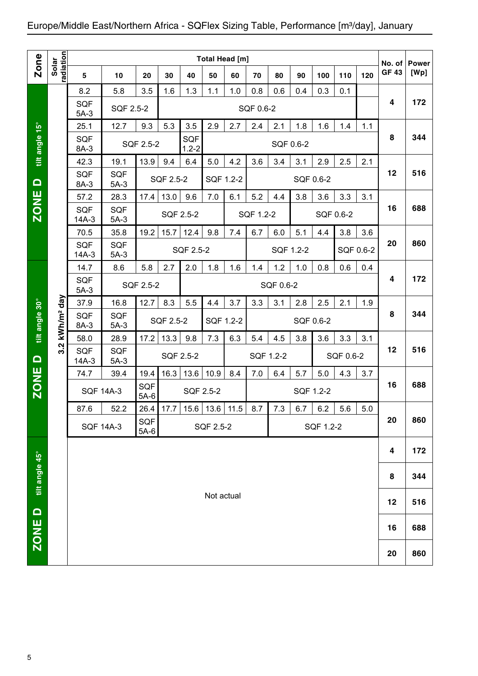|                |                    |                       |                      |               |           |                         | <b>Total Head [m]</b> |     |           |           |     |           |           |           |                        |                      |
|----------------|--------------------|-----------------------|----------------------|---------------|-----------|-------------------------|-----------------------|-----|-----------|-----------|-----|-----------|-----------|-----------|------------------------|----------------------|
| Zone           | Solar<br>radiation | 5                     | 10                   | 20            | 30        | 40                      | 50                    | 60  | 70        | 80        | 90  | 100       | 110       | 120       | No. of<br><b>GF 43</b> | <b>Power</b><br>[Wp] |
|                |                    | 8.2                   | 5.8                  | 3.5           | 1.6       | 1.3                     | 1.1                   | 1.0 | 0.8       | 0.6       | 0.4 | 0.3       | 0.1       |           |                        |                      |
|                |                    | <b>SQF</b><br>$5A-3$  | SQF 2.5-2            |               |           |                         |                       |     | SQF 0.6-2 |           |     |           |           |           | 4                      | 172                  |
|                |                    | 25.1                  | 12.7                 | 9.3           | 5.3       | 3.5                     | 2.9                   | 2.7 | 2.4       | 2.1       | 1.8 | 1.6       | 1.4       | 1.1       |                        |                      |
| tilt angle 15° |                    | <b>SQF</b><br>8A-3    |                      | SQF 2.5-2     |           | <b>SQF</b><br>$1.2 - 2$ |                       |     |           | SQF 0.6-2 |     |           |           |           | 8                      | 344                  |
|                |                    | 42.3                  | 19.1                 | 13.9          | 9.4       | 6.4                     | 5.0                   | 4.2 | 3.6       | 3.4       | 3.1 | 2.9       | 2.5       | 2.1       |                        |                      |
| $\Omega$       |                    | <b>SQF</b><br>8A-3    | <b>SQF</b><br>$5A-3$ |               | SQF 2.5-2 |                         | SQF 1.2-2             |     |           |           |     | SQF 0.6-2 |           |           | 12                     | 516                  |
|                |                    | 57.2                  | 28.3                 | 17.4          | 13.0      | 9.6                     | 7.0                   | 6.1 | 5.2       | 4.4       | 3.8 | 3.6       | 3.3       | 3.1       |                        |                      |
| <b>ZONE</b>    |                    | <b>SQF</b><br>$14A-3$ | <b>SQF</b><br>$5A-3$ |               |           | SQF 2.5-2               |                       |     | SQF 1.2-2 |           |     |           | SQF 0.6-2 |           | 16                     | 688                  |
|                |                    | 70.5                  | 35.8                 | 19.2          | 15.7      | 12.4                    | 9.8                   | 7.4 | 6.7       | 6.0       | 5.1 | 4.4       | 3.8       | 3.6       |                        |                      |
|                |                    | <b>SQF</b><br>14A-3   | <b>SQF</b><br>$5A-3$ |               |           | SQF 2.5-2               |                       |     |           | SQF 1.2-2 |     |           |           | SQF 0.6-2 | 20                     | 860                  |
|                |                    | 14.7                  | 8.6                  | 5.8           | 2.7       | 2.0                     | 1.8                   | 1.6 | 1.4       | 1.2       | 1.0 | 0.8       | 0.6       | 0.4       |                        |                      |
|                |                    | <b>SQF</b><br>$5A-3$  |                      | SQF 2.5-2     |           |                         |                       |     |           | SQF 0.6-2 |     |           |           |           | 4                      | 172                  |
|                | day                | 37.9                  | 16.8                 | 12.7          | 8.3       | 5.5                     | 4.4                   | 3.7 | 3.3       | 3.1       | 2.8 | 2.5       | 2.1       | 1.9       |                        |                      |
| tilt angle 30° | kWh/m <sup>2</sup> | <b>SQF</b><br>8A-3    | <b>SQF</b><br>$5A-3$ |               | SQF 2.5-2 |                         | SQF 1.2-2             |     |           |           |     | SQF 0.6-2 |           |           | 8                      | 344                  |
|                | $\dot{q}$          | 58.0                  | 28.9                 | 17.2          | 13.3      | 9.8                     | 7.3                   | 6.3 | 5.4       | 4.5       | 3.8 | 3.6       | 3.3       | 3.1       |                        |                      |
| $\Box$         | ო                  | <b>SQF</b><br>$14A-3$ | <b>SQF</b><br>$5A-3$ |               |           | SQF 2.5-2               |                       |     | SQF 1.2-2 |           |     |           | SQF 0.6-2 |           | 12                     | 516                  |
|                |                    | 74.7                  | 39.4                 | 19.4          | 16.3      | 13.6                    | 10.9                  | 8.4 | 7.0       | 6.4       | 5.7 | 5.0       | 4.3       | 3.7       |                        |                      |
| <b>ZONE</b>    |                    | <b>SQF 14A-3</b>      |                      | SQF<br>$5A-6$ |           | SQF 2.5-2               |                       |     |           |           |     | SQF 1.2-2 |           |           | 16                     | 688                  |
|                |                    | 87.6                  | 52.2                 |               | 26.4 17.7 |                         | $15.6$ 13.6 11.5      |     | 8.7       | 7.3       | 6.7 | 6.2       | 5.6       | 5.0       |                        |                      |
|                |                    | <b>SQF 14A-3</b>      |                      | SQF<br>$5A-6$ |           |                         | SQF 2.5-2             |     |           |           |     | SQF 1.2-2 |           |           | 20                     | 860                  |
|                |                    |                       |                      |               |           |                         |                       |     |           |           |     |           |           |           | 4                      | 172                  |
| tilt angle 45° |                    |                       |                      |               |           |                         |                       |     |           |           |     |           |           |           | 8                      | 344                  |
|                |                    |                       |                      |               |           |                         | Not actual            |     |           |           |     |           |           |           | 12                     | 516                  |
| ZONE D         |                    |                       |                      |               |           |                         |                       |     |           |           |     |           |           |           | 16                     | 688                  |
|                |                    |                       |                      |               |           |                         |                       |     |           |           |     |           |           |           | 20                     | 860                  |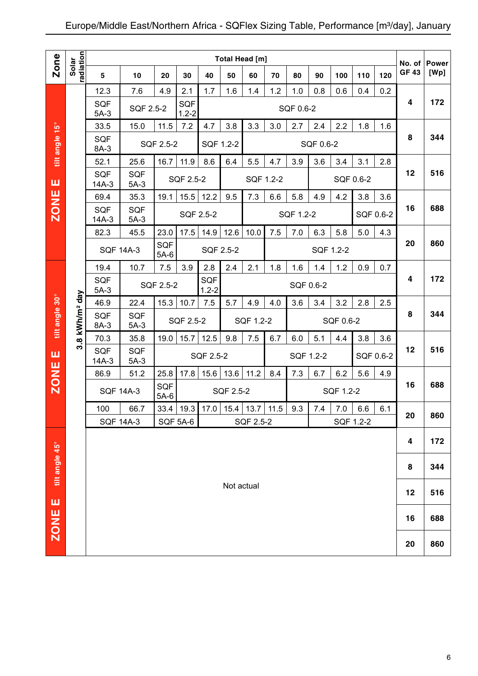|                |                            |                                                                           |                      |                      |                         |           | <b>Total Head [m]</b> |                |     |           |           |           |           |           |                        |                      |
|----------------|----------------------------|---------------------------------------------------------------------------|----------------------|----------------------|-------------------------|-----------|-----------------------|----------------|-----|-----------|-----------|-----------|-----------|-----------|------------------------|----------------------|
| <b>Zone</b>    | radiation<br>Solar         | 5                                                                         | 10                   | 20                   | 30                      | 40        | 50                    | 60             | 70  | 80        | 90        | 100       | 110       | 120       | No. of<br><b>GF 43</b> | <b>Power</b><br>[Wp] |
|                |                            | 12.3                                                                      | 7.6                  | 4.9                  | 2.1                     | 1.7       | 1.6                   | 1.4            | 1.2 | 1.0       | 0.8       | 0.6       | 0.4       | 0.2       |                        |                      |
|                |                            | <b>SQF</b><br>$5A-3$                                                      | SQF 2.5-2            |                      | <b>SQF</b><br>$1.2 - 2$ |           |                       |                |     | SQF 0.6-2 |           |           |           |           | 4                      | 172                  |
|                |                            | 33.5                                                                      | 15.0                 | 11.5                 | 7.2                     | 4.7       | 3.8                   | 3.3            | 3.0 | 2.7       | 2.4       | 2.2       | 1.8       | 1.6       |                        |                      |
| tilt angle 15° |                            | <b>SQF</b><br>8A-3                                                        |                      | SQF 2.5-2            |                         | SQF 1.2-2 |                       |                |     |           | SQF 0.6-2 |           |           |           | 8                      | 344                  |
|                |                            | 52.1                                                                      | 25.6                 | 16.7                 | 11.9                    | 8.6       | 6.4                   | 5.5            | 4.7 | 3.9       | 3.6       | 3.4       | 3.1       | 2.8       |                        |                      |
| ш              |                            | <b>SQF</b><br>$14A-3$                                                     | <b>SQF</b><br>$5A-3$ |                      | SQF 2.5-2               |           |                       | SQF 1.2-2      |     |           |           |           | SQF 0.6-2 |           | 12                     | 516                  |
|                |                            | 69.4                                                                      | 35.3                 | 19.1                 | 15.5                    | 12.2      | 9.5                   | 7.3            | 6.6 | 5.8       | 4.9       | 4.2       | 3.8       | 3.6       |                        |                      |
| <b>ZONE</b>    |                            | <b>SQF</b><br>$14A-3$                                                     | <b>SQF</b><br>$5A-3$ |                      | SQF 2.5-2               |           |                       |                |     | SQF 1.2-2 |           |           |           | SQF 0.6-2 | 16                     | 688                  |
|                |                            | 82.3                                                                      | 45.5                 | 23.0                 | 17.5                    | 14.9      | 12.6                  | 10.0           | 7.5 | 7.0       | 6.3       | 5.8       | 5.0       | 4.3       |                        |                      |
|                |                            |                                                                           | <b>SQF 14A-3</b>     | <b>SQF</b><br>$5A-6$ |                         | SQF 2.5-2 |                       |                |     |           |           | SQF 1.2-2 |           |           | 20                     | 860                  |
|                |                            | 19.4                                                                      | 10.7                 | 7.5                  | 3.9                     | 2.8       | 2.4                   | 2.1            | 1.8 | 1.6       | 1.4       | 1.2       | 0.9       | 0.7       |                        |                      |
|                |                            | <b>SQF</b><br><b>SQF</b><br>SQF 2.5-2<br>SQF 0.6-2<br>$1.2 - 2$<br>$5A-3$ |                      |                      |                         |           |                       |                |     |           |           |           |           |           | 4                      | 172                  |
|                |                            | 46.9                                                                      | 22.4                 | 15.3                 | 10.7                    | 7.5       | 5.7                   | 4.9            | 4.0 | 3.6       | 3.4       | 3.2       | 2.8       | 2.5       |                        |                      |
| tilt angle 30° | 3.8 kWh/m <sup>2</sup> day | <b>SQF</b><br>8A-3                                                        | <b>SQF</b><br>$5A-3$ |                      | SQF 2.5-2               |           |                       | SQF 1.2-2      |     |           |           | SQF 0.6-2 |           |           | 8                      | 344                  |
|                |                            | 70.3                                                                      | 35.8                 | 19.0                 | 15.7                    | 12.5      | 9.8                   | 7.5            | 6.7 | 6.0       | 5.1       | 4.4       | 3.8       | 3.6       |                        |                      |
| ш              |                            | <b>SQF</b><br>$14A-3$                                                     | <b>SQF</b><br>$5A-3$ |                      |                         | SQF 2.5-2 |                       |                |     |           | SQF 1.2-2 |           |           | SQF 0.6-2 | 12                     | 516                  |
|                |                            | 86.9                                                                      | 51.2                 | 25.8                 | 17.8                    | 15.6      | 13.6                  | 11.2           | 8.4 | 7.3       | 6.7       | 6.2       | 5.6       | 4.9       |                        |                      |
| <b>ZONE</b>    |                            |                                                                           | <b>SQF 14A-3</b>     | SQF<br>$5A-6$        |                         |           | SQF 2.5-2             |                |     |           |           | SQF 1.2-2 |           |           | 16                     | 688                  |
|                |                            | 100                                                                       | 66.7                 |                      | $33.4$ 19.3             | 17.0      |                       | 15.4 13.7 11.5 |     | 9.3       | 7.4       | 7.0       | 6.6       | 6.1       | 20                     | 860                  |
|                |                            |                                                                           | <b>SQF 14A-3</b>     |                      | SQF 5A-6                |           |                       | SQF 2.5-2      |     |           |           |           | SQF 1.2-2 |           |                        |                      |
|                |                            |                                                                           |                      |                      |                         |           |                       |                |     |           |           |           |           |           | 4                      | 172                  |
| tilt angle 45° |                            |                                                                           |                      |                      |                         |           |                       |                |     |           |           |           |           |           | 8                      | 344                  |
| ш              |                            |                                                                           |                      |                      |                         |           | Not actual            |                |     |           |           |           |           |           | 12                     | 516                  |
| <b>ZONE</b>    |                            |                                                                           |                      |                      |                         |           |                       |                |     |           |           |           |           |           | 16                     | 688                  |
|                |                            |                                                                           |                      |                      |                         |           |                       |                |     |           |           |           |           |           | 20                     | 860                  |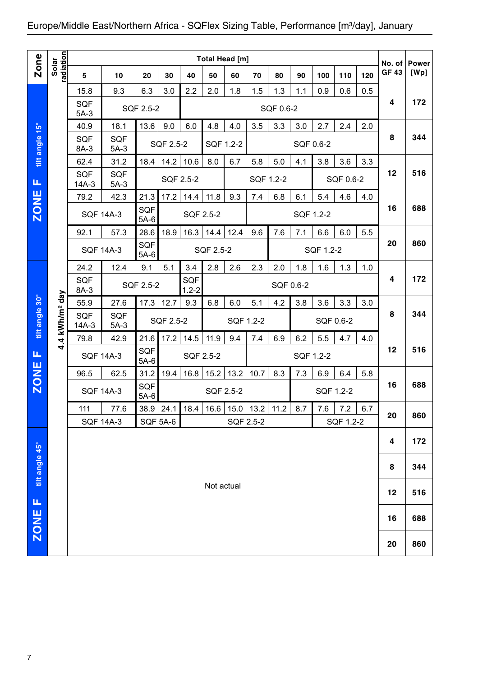|                |                        |                       |                          |                      |                                |                         |                  | Total Head [m] |             |           |           |           |                  |     |                       |                      |
|----------------|------------------------|-----------------------|--------------------------|----------------------|--------------------------------|-------------------------|------------------|----------------|-------------|-----------|-----------|-----------|------------------|-----|-----------------------|----------------------|
| <b>Zone</b>    | adiation<br>Solar      | 5                     | 10                       | 20                   | 30                             | 40                      | 50               | 60             | 70          | 80        | 90        | 100       | 110              | 120 | No. of<br><b>GF43</b> | <b>Power</b><br>[Wp] |
|                |                        | 15.8                  | 9.3                      | 6.3                  | 3.0                            | 2.2                     | 2.0              | 1.8            | 1.5         | 1.3       | 1.1       | 0.9       | 0.6              | 0.5 |                       |                      |
|                |                        | <b>SQF</b><br>$5A-3$  |                          | SQF 2.5-2            |                                |                         |                  |                |             | SQF 0.6-2 |           |           |                  |     | 4                     | 172                  |
|                |                        | 40.9                  | 18.1                     | 13.6                 | 9.0                            | 6.0                     | 4.8              | 4.0            | 3.5         | 3.3       | 3.0       | 2.7       | 2.4              | 2.0 |                       |                      |
| tilt angle 15° |                        | <b>SQF</b><br>8A-3    | <b>SQF</b><br>$5A-3$     |                      | SQF 2.5-2                      |                         | SQF 1.2-2        |                |             |           | SQF 0.6-2 |           |                  |     | 8                     | 344                  |
|                |                        | 62.4                  | 31.2                     | 18.4                 | 14.2                           | 10.6                    | 8.0              | 6.7            | 5.8         | 5.0       | 4.1       | 3.8       | 3.6              | 3.3 |                       |                      |
| Щ              |                        | <b>SQF</b><br>$14A-3$ | <b>SQF</b><br>$5A-3$     |                      | SQF 2.5-2                      |                         |                  |                | SQF 1.2-2   |           |           |           | SQF 0.6-2        |     | 12                    | 516                  |
|                |                        | 79.2                  | 42.3                     | 21.3                 | 17.2                           | 14.4                    | 11.8             | 9.3            | 7.4         | 6.8       | 6.1       | 5.4       | 4.6              | 4.0 |                       |                      |
| <b>ZONE</b>    |                        | <b>SQF 14A-3</b>      |                          | <b>SQF</b><br>$5A-6$ |                                | SQF 2.5-2               |                  |                |             |           | SQF 1.2-2 |           |                  |     | 16                    | 688                  |
|                |                        | 92.1                  | 57.3                     | 28.6                 | 18.9                           | 16.3                    | 14.4             | 12.4           | 9.6         | 7.6       | 7.1       | 6.6       | 6.0              | 5.5 |                       |                      |
|                |                        |                       | <b>SQF 14A-3</b>         | SQF<br>$5A-6$        |                                |                         | <b>SQF 2.5-2</b> |                |             |           |           | SQF 1.2-2 |                  |     | 20                    | 860                  |
|                |                        | 24.2                  | 12.4                     | 9.1                  | 5.1                            | 3.4                     | 2.8              | 2.6            | 2.3         | 2.0       | 1.8       | 1.6       | 1.3              | 1.0 |                       |                      |
|                |                        | <b>SQF</b><br>8A-3    |                          | SQF 2.5-2            |                                | <b>SQF</b><br>$1.2 - 2$ |                  |                |             | SQF 0.6-2 |           |           |                  |     | 4                     | 172                  |
|                |                        | 55.9                  | 27.6                     | 17.3                 | 12.7                           | 9.3                     | 6.8              | 6.0            | 5.1         | 4.2       | 3.8       | 3.6       | 3.3              | 3.0 |                       |                      |
| tilt angle 30° | kWh/m <sup>2</sup> day | SQF<br>$14A-3$        | <b>SQF</b><br>$5A-3$     |                      | SQF 2.5-2                      |                         |                  | SQF 1.2-2      |             |           |           | SQF 0.6-2 |                  |     | 8                     | 344                  |
|                | 4.4                    | 79.8                  | 42.9                     | 21.6                 | 17.2                           | 14.5                    | 11.9             | 9.4            | 7.4         | 6.9       | 6.2       | 5.5       | 4.7              | 4.0 |                       |                      |
| Щ              |                        | <b>SQF 14A-3</b>      |                          | SQF<br>$5A-6$        |                                | SQF 2.5-2               |                  |                |             |           |           | SQF 1.2-2 |                  |     | 12                    | 516                  |
|                |                        | 96.5                  | 62.5                     | 31.2                 | 19.4                           | 16.8                    | 15.2             | 13.2           | 10.7        | 8.3       | 7.3       | 6.9       | 6.4              | 5.8 |                       |                      |
| <b>ZONE</b>    |                        |                       | <b>SQF 14A-3</b>         | SQF<br>$5A-6$        |                                |                         | SQF 2.5-2        |                |             |           |           | SQF 1.2-2 |                  |     | 16                    | 688                  |
|                |                        | 111                   | 77.6<br><b>SQF 14A-3</b> |                      | $38.9$ 24.1<br><b>SQF 5A-6</b> | 18.4                    | 16.6             | SQF 2.5-2      | $15.0$ 13.2 | 11.2      | 8.7       | 7.6       | 7.2<br>SQF 1.2-2 | 6.7 | 20                    | 860                  |
|                |                        |                       |                          |                      |                                |                         |                  |                |             |           |           |           |                  |     |                       |                      |
|                |                        |                       |                          |                      |                                |                         |                  |                |             |           |           |           |                  |     | 4                     | 172                  |
| tilt angle 45° |                        |                       |                          |                      |                                |                         |                  |                |             |           |           |           |                  |     | 8                     | 344                  |
|                |                        |                       |                          |                      |                                |                         | Not actual       |                |             |           |           |           |                  |     | 12                    | 516                  |
| Щ              |                        |                       |                          |                      |                                |                         |                  |                |             |           |           |           |                  |     | 16                    | 688                  |
| ZONE           |                        |                       |                          |                      |                                |                         |                  |                |             |           |           |           |                  |     | 20                    | 860                  |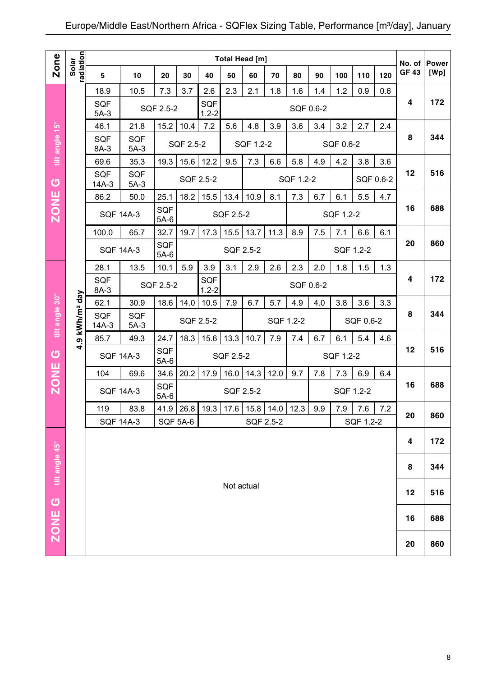|                |                            |                       |                      |                      |               |                  |            | <b>Total Head [m]</b> |                      |           |           |           |           |           |                        |                      |
|----------------|----------------------------|-----------------------|----------------------|----------------------|---------------|------------------|------------|-----------------------|----------------------|-----------|-----------|-----------|-----------|-----------|------------------------|----------------------|
| Zone           | radiation<br>Solar         | 5                     | 10                   | 20                   | 30            | 40               | 50         | 60                    | 70                   | 80        | 90        | 100       | 110       | 120       | No. of<br><b>GF 43</b> | <b>Power</b><br>[Wp] |
|                |                            | 18.9                  | 10.5                 | 7.3                  | 3.7           | 2.6              | 2.3        | 2.1                   | 1.8                  | 1.6       | 1.4       | 1.2       | 0.9       | 0.6       |                        |                      |
|                |                            | <b>SQF</b><br>$5A-3$  |                      | SQF 2.5-2            |               | SQF<br>$1.2 - 2$ |            |                       |                      |           | SQF 0.6-2 |           |           |           | 4                      | 172                  |
|                |                            | 46.1                  | 21.8                 | 15.2                 | 10.4          | 7.2              | 5.6        | 4.8                   | 3.9                  | 3.6       | 3.4       | 3.2       | 2.7       | 2.4       |                        |                      |
| tilt angle 15° |                            | <b>SQF</b><br>8A-3    | <b>SQF</b><br>$5A-3$ |                      | SQF 2.5-2     |                  |            | SQF 1.2-2             |                      |           |           | SQF 0.6-2 |           |           | 8                      | 344                  |
|                |                            | 69.6                  | 35.3                 | 19.3                 | 15.6          | 12.2             | 9.5        | 7.3                   | 6.6                  | 5.8       | 4.9       | 4.2       | 3.8       | 3.6       |                        |                      |
| $\sigma$       |                            | <b>SQF</b><br>$14A-3$ | <b>SQF</b><br>$5A-3$ |                      |               | SQF 2.5-2        |            |                       |                      | SQF 1.2-2 |           |           |           | SQF 0.6-2 | 12                     | 516                  |
|                |                            | 86.2                  | 50.0                 | 25.1                 | 18.2          | 15.5             | 13.4       | 10.9                  | 8.1                  | 7.3       | 6.7       | 6.1       | 5.5       | 4.7       |                        |                      |
| <b>ZONE</b>    |                            |                       | <b>SQF 14A-3</b>     | SQF<br>$5A-6$        |               |                  | SQF 2.5-2  |                       |                      |           |           | SQF 1.2-2 |           |           | 16                     | 688                  |
|                |                            | 100.0                 | 65.7                 | 32.7                 | 19.7          | 17.3             | 15.5       | 13.7                  | 11.3                 | 8.9       | 7.5       | 7.1       | 6.6       | 6.1       |                        |                      |
|                |                            | <b>SQF 14A-3</b>      |                      | <b>SQF</b><br>$5A-6$ |               |                  |            | SQF 2.5-2             |                      |           |           |           | SQF 1.2-2 |           | 20                     | 860                  |
|                |                            | 28.1                  | 13.5                 | 10.1                 | 5.9           | 3.9              | 3.1        | 2.9                   | 2.6                  | 2.3       | 2.0       | 1.8       | 1.5       | 1.3       |                        |                      |
|                |                            | <b>SQF</b><br>8A-3    |                      | SQF 2.5-2            |               | SQF<br>$1.2 - 2$ |            |                       |                      |           | SQF 0.6-2 |           |           |           | 4                      | 172                  |
|                |                            | 62.1                  | 30.9                 | 18.6                 | 14.0          | 10.5             | 7.9        | 6.7                   | 5.7                  | 4.9       | 4.0       | 3.8       | 3.6       | 3.3       |                        |                      |
| tilt angle 30° | 4.9 kWh/m <sup>2</sup> day | <b>SQF</b><br>$14A-3$ | <b>SQF</b><br>$5A-3$ |                      | SQF 2.5-2     |                  |            |                       | SQF 1.2-2            |           |           |           | SQF 0.6-2 |           | 8                      | 344                  |
|                |                            | 85.7                  | 49.3                 | 24.7                 | 18.3          | 15.6             | 13.3       | 10.7                  | 7.9                  | 7.4       | 6.7       | 6.1       | 5.4       | 4.6       |                        |                      |
| $\sigma$       |                            | <b>SQF 14A-3</b>      |                      | SQF<br>$5A-6$        |               |                  | SQF 2.5-2  |                       |                      |           |           | SQF 1.2-2 |           |           | 12                     | 516                  |
|                |                            | 104                   | 69.6                 | 34.6                 | 20.2          | 17.9             | 16.0       | 14.3                  | 12.0                 | 9.7       | 7.8       | 7.3       | 6.9       | 6.4       |                        |                      |
| <b>ZONE</b>    |                            |                       | <b>SQF 14A-3</b>     | <b>SQF</b><br>$5A-6$ |               |                  |            | SQF 2.5-2             |                      |           |           |           | SQF 1.2-2 |           | 16                     | 688                  |
|                |                            | 119                   | 83.8                 |                      | $41.9$   26.8 | 19.3             | 17.6       |                       | $15.8$   14.0   12.3 |           | 9.9       | 7.9       | 7.6       | 7.2       | 20                     | 860                  |
|                |                            |                       | <b>SQF 14A-3</b>     |                      | SQF 5A-6      |                  |            | SQF 2.5-2             |                      |           |           |           | SQF 1.2-2 |           |                        |                      |
|                |                            |                       |                      |                      |               |                  |            |                       |                      |           |           |           |           |           | 4                      | 172                  |
| tilt angle 45° |                            |                       |                      |                      |               |                  |            |                       |                      |           |           |           |           |           | 8                      | 344                  |
|                |                            |                       |                      |                      |               |                  | Not actual |                       |                      |           |           |           |           |           | 12                     | 516                  |
| ZONE G         |                            |                       |                      |                      |               |                  |            |                       |                      |           |           |           |           |           | 16                     | 688                  |
|                |                            |                       |                      |                      |               |                  |            |                       |                      |           |           |           |           |           | 20                     | 860                  |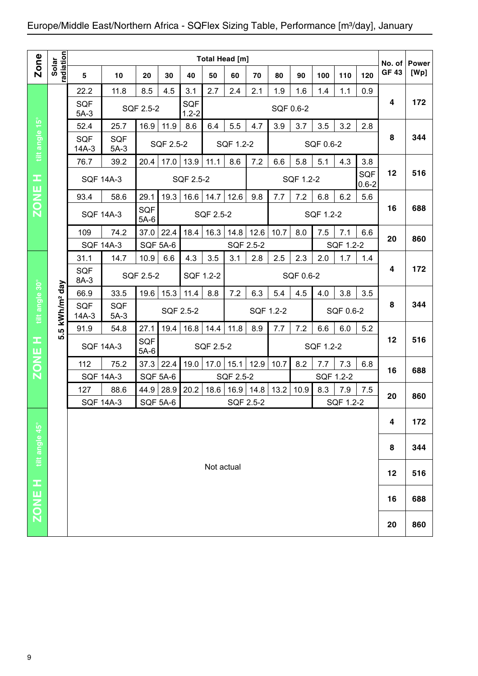|                |                          |                      |                      |                      |           |                         | Total Head [m] |           |           |           |           |           |           |                  |                        |                      |
|----------------|--------------------------|----------------------|----------------------|----------------------|-----------|-------------------------|----------------|-----------|-----------|-----------|-----------|-----------|-----------|------------------|------------------------|----------------------|
| Zone           | radiation<br>Solar       | $5\phantom{1}$       | 10                   | 20                   | 30        | 40                      | 50             | 60        | 70        | 80        | 90        | 100       | 110       | 120              | No. of<br><b>GF 43</b> | <b>Power</b><br>[Wp] |
|                |                          | 22.2                 | 11.8                 | 8.5                  | 4.5       | 3.1                     | 2.7            | 2.4       | 2.1       | 1.9       | 1.6       | 1.4       | 1.1       | 0.9              |                        |                      |
|                |                          | <b>SQF</b><br>$5A-3$ |                      | SQF 2.5-2            |           | <b>SQF</b><br>$1.2 - 2$ |                |           |           | SQF 0.6-2 |           |           |           |                  | 4                      | 172                  |
|                |                          | 52.4                 | 25.7                 | 16.9                 | 11.9      | 8.6                     | 6.4            | 5.5       | 4.7       | 3.9       | 3.7       | 3.5       | 3.2       | 2.8              |                        |                      |
| tilt angle 15° |                          | SQF<br>$14A-3$       | <b>SQF</b><br>$5A-3$ |                      | SQF 2.5-2 |                         |                | SQF 1.2-2 |           |           |           | SQF 0.6-2 |           |                  | 8                      | 344                  |
|                |                          | 76.7                 | 39.2                 | 20.4                 | 17.0      | 13.9                    | 11.1           | 8.6       | 7.2       | 6.6       | 5.8       | 5.1       | 4.3       | 3.8              |                        |                      |
| щ,             |                          |                      | <b>SQF 14A-3</b>     |                      |           | SQF 2.5-2               |                |           |           |           | SQF 1.2-2 |           |           | SQF<br>$0.6 - 2$ | 12                     | 516                  |
| <b>ZONE</b>    |                          | 93.4                 | 58.6                 | 29.1                 | 19.3      | 16.6                    | 14.7           | 12.6      | 9.8       | 7.7       | 7.2       | 6.8       | 6.2       | 5.6              |                        |                      |
|                |                          |                      | <b>SQF 14A-3</b>     | SQF<br>$5A-6$        |           |                         | SQF 2.5-2      |           |           |           |           | SQF 1.2-2 |           |                  | 16                     | 688                  |
|                |                          | 109                  | 74.2                 | 37.0                 | 22.4      | 18.4                    | 16.3           | 14.8      | 12.6      | 10.7      | 8.0       | 7.5       | 7.1       | 6.6              | 20                     | 860                  |
|                |                          | <b>SQF 14A-3</b>     |                      | <b>SQF 5A-6</b>      |           |                         |                | SQF 2.5-2 |           |           |           |           | SQF 1.2-2 |                  |                        |                      |
|                |                          | 31.1                 | 14.7                 | 10.9                 | 6.6       | 4.3                     | 3.5            | 3.1       | 2.8       | 2.5       | 2.3       | 2.0       | 1.7       | 1.4              |                        |                      |
|                |                          | SQF<br>8A-3          |                      | SQF 2.5-2            |           | SQF 1.2-2               |                |           |           |           | SQF 0.6-2 |           |           |                  | 4                      | 172                  |
|                |                          | 66.9                 | 33.5                 | 19.6                 | 15.3      | 11.4                    | 8.8            | 7.2       | 6.3       | 5.4       | 4.5       | 4.0       | 3.8       | 3.5              |                        |                      |
| tilt angle 30° | 5 kWh/m <sup>2</sup> day | SQF<br>$14A-3$       | <b>SQF</b><br>$5A-3$ |                      |           | SQF 2.5-2               |                |           | SQF 1.2-2 |           |           |           | SQF 0.6-2 |                  | 8                      | 344                  |
|                |                          | 91.9                 | 54.8                 | 27.1                 | 19.4      | 16.8                    | 14.4           | 11.8      | 8.9       | 7.7       | 7.2       | 6.6       | 6.0       | 5.2              |                        |                      |
| œ<br>ш         | ιó                       |                      | <b>SQF 14A-3</b>     | <b>SQF</b><br>$5A-6$ |           |                         | SQF 2.5-2      |           |           |           |           | SQF 1.2-2 |           |                  | 12                     | 516                  |
| <b>NOZ</b>     |                          | 112                  | 75.2                 | 37.3                 | 22.4      | 19.0                    | 17.0           | 15.1      | 12.9      | 10.7      | 8.2       | 7.7       | 7.3       | 6.8              | 16                     | 688                  |
|                |                          | <b>SQF 14A-3</b>     |                      | <b>SQF 5A-6</b>      |           |                         |                | SQF 2.5-2 |           |           |           |           | SQF 1.2-2 |                  |                        |                      |
|                |                          | 127                  | 88.6                 | 44.9                 | 28.9      | 20.2                    | 18.6           | 16.9      | 14.8      | 13.2      | 10.9      | 8.3       | 7.9       | 7.5              | 20                     | 860                  |
|                |                          | <b>SQF 14A-3</b>     |                      | <b>SQF 5A-6</b>      |           |                         |                | SQF 2.5-2 |           |           |           |           | SQF 1.2-2 |                  |                        |                      |
|                |                          |                      |                      |                      |           |                         |                |           |           |           |           |           |           |                  | 4                      | 172                  |
| tilt angle 45° |                          |                      |                      |                      |           |                         |                |           |           |           |           |           |           |                  | 8                      | 344                  |
|                |                          |                      |                      |                      |           |                         | Not actual     |           |           |           |           |           |           |                  | 12                     | 516                  |
| <b>H 3NOZ</b>  |                          |                      |                      |                      |           |                         |                |           |           |           |           |           |           |                  | 16                     | 688                  |
|                |                          |                      |                      |                      |           |                         |                |           |           |           |           |           |           |                  |                        |                      |
|                |                          |                      |                      |                      |           |                         |                |           |           |           |           |           |           |                  | 20                     | 860                  |